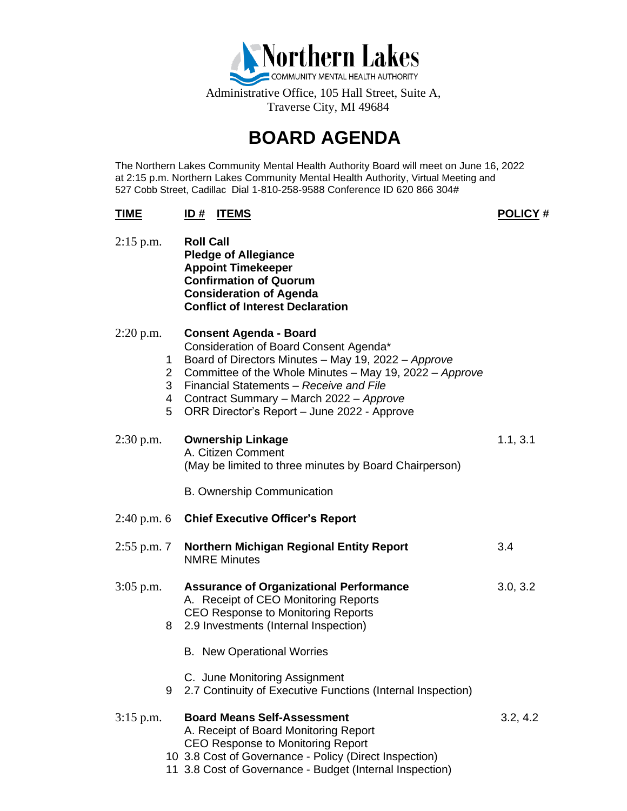

Administrative Office, 105 Hall Street, Suite A, Traverse City, MI 49684

## **BOARD AGENDA**

The Northern Lakes Community Mental Health Authority Board will meet on June 16, 2022 at 2:15 p.m. Northern Lakes Community Mental Health Authority, Virtual Meeting and 527 Cobb Street, Cadillac Dial 1-810-258-9588 Conference ID 620 866 304#

## **TIME ID # ITEMS POLICY #**

2:15 p.m. **Roll Call Pledge of Allegiance Appoint Timekeeper Confirmation of Quorum Consideration of Agenda Conflict of Interest Declaration**

| $2:20$ p.m.   | 1<br>$2^{\circ}$<br>3<br>4<br>5 | <b>Consent Agenda - Board</b><br>Consideration of Board Consent Agenda*<br>Board of Directors Minutes - May 19, 2022 - Approve<br>Committee of the Whole Minutes - May 19, 2022 - Approve<br>Financial Statements - Receive and File<br>Contract Summary - March 2022 - Approve<br>ORR Director's Report - June 2022 - Approve |          |
|---------------|---------------------------------|--------------------------------------------------------------------------------------------------------------------------------------------------------------------------------------------------------------------------------------------------------------------------------------------------------------------------------|----------|
| $2:30$ p.m.   |                                 | <b>Ownership Linkage</b><br>A. Citizen Comment<br>(May be limited to three minutes by Board Chairperson)                                                                                                                                                                                                                       | 1.1, 3.1 |
|               |                                 | <b>B. Ownership Communication</b>                                                                                                                                                                                                                                                                                              |          |
| $2:40$ p.m. 6 |                                 | <b>Chief Executive Officer's Report</b>                                                                                                                                                                                                                                                                                        |          |
| $2:55$ p.m. 7 |                                 | <b>Northern Michigan Regional Entity Report</b><br><b>NMRE Minutes</b>                                                                                                                                                                                                                                                         | 3.4      |
| 3:05 p.m.     | 8                               | <b>Assurance of Organizational Performance</b><br>A. Receipt of CEO Monitoring Reports<br><b>CEO Response to Monitoring Reports</b><br>2.9 Investments (Internal Inspection)                                                                                                                                                   | 3.0, 3.2 |
|               |                                 | <b>B.</b> New Operational Worries                                                                                                                                                                                                                                                                                              |          |
|               | 9                               | C. June Monitoring Assignment<br>2.7 Continuity of Executive Functions (Internal Inspection)                                                                                                                                                                                                                                   |          |
| $3:15$ p.m.   |                                 | <b>Board Means Self-Assessment</b><br>A. Receipt of Board Monitoring Report<br><b>CEO Response to Monitoring Report</b><br>10 3.8 Cost of Governance - Policy (Direct Inspection)                                                                                                                                              | 3.2, 4.2 |

11 3.8 Cost of Governance - Budget (Internal Inspection)